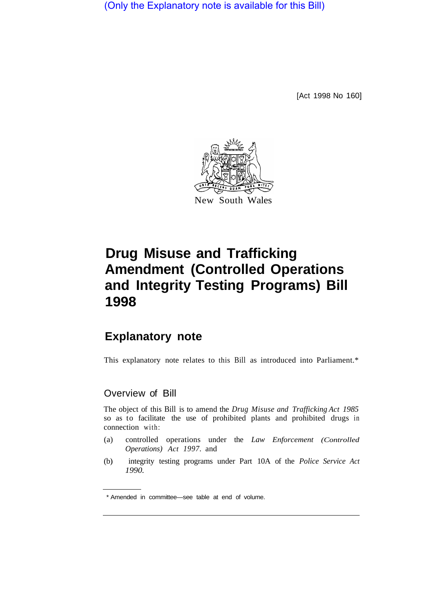(Only the Explanatory note is available for this Bill)

[Act 1998 No 160]



## **Drug Misuse and Trafficking Amendment (Controlled Operations and Integrity Testing Programs) Bill 1998**

## **Explanatory note**

This explanatory note relates to this Bill as introduced into Parliament.\*

## Overview of Bill

The object of this Bill is to amend the *Drug Misuse and Trafficking Act 1985* so as to facilitate the use of prohibited plants and prohibited drugs in connection with:

- (a) controlled operations under the *Law Enforcement (Controlled Operations) Act 1997.* and
- (b) integrity testing programs under Part 10A of the *Police Service Act 1990.*

<sup>\*</sup> Amended in committee—see table at end of volume.